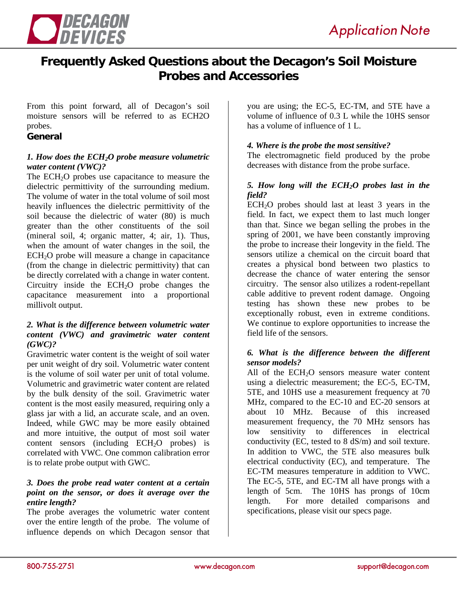

# **Frequently Asked Questions about the Decagon's Soil Moisture Probes and Accessories**

From this point forward, all of Decagon's soil moisture sensors will be referred to as ECH2O probes.

#### **General**

#### *1. How does the ECH2O probe measure volumetric water content (VWC)?*

The ECH<sub>2</sub>O probes use capacitance to measure the dielectric permittivity of the surrounding medium. The volume of water in the total volume of soil most heavily influences the dielectric permittivity of the soil because the dielectric of water (80) is much greater than the other constituents of the soil (mineral soil, 4; organic matter, 4; air, 1). Thus, when the amount of water changes in the soil, the  $ECH<sub>2</sub>O$  probe will measure a change in capacitance (from the change in dielectric permittivity) that can be directly correlated with a change in water content. Circuitry inside the  $ECH<sub>2</sub>O$  probe changes the capacitance measurement into a proportional millivolt output.

#### *2. What is the difference between volumetric water content (VWC) and gravimetric water content (GWC)?*

Gravimetric water content is the weight of soil water per unit weight of dry soil. Volumetric water content is the volume of soil water per unit of total volume. Volumetric and gravimetric water content are related by the bulk density of the soil. Gravimetric water content is the most easily measured, requiring only a glass jar with a lid, an accurate scale, and an oven. Indeed, while GWC may be more easily obtained and more intuitive, the output of most soil water content sensors (including  $ECH<sub>2</sub>O$  probes) is correlated with VWC. One common calibration error is to relate probe output with GWC.

### *3. Does the probe read water content at a certain point on the sensor, or does it average over the entire length?*

The probe averages the volumetric water content over the entire length of the probe. The volume of influence depends on which Decagon sensor that

you are using; the EC-5, EC-TM, and 5TE have a volume of influence of 0.3 L while the 10HS sensor has a volume of influence of 1 L.

#### *4. Where is the probe the most sensitive?*

The electromagnetic field produced by the probe decreases with distance from the probe surface.

### *5. How long will the ECH2O probes last in the field?*

ECH2O probes should last at least 3 years in the field. In fact, we expect them to last much longer than that. Since we began selling the probes in the spring of 2001, we have been constantly improving the probe to increase their longevity in the field. The sensors utilize a chemical on the circuit board that creates a physical bond between two plastics to decrease the chance of water entering the sensor circuitry. The sensor also utilizes a rodent-repellant cable additive to prevent rodent damage. Ongoing testing has shown these new probes to be exceptionally robust, even in extreme conditions. We continue to explore opportunities to increase the field life of the sensors.

#### *6. What is the difference between the different sensor models?*

All of the  $ECH<sub>2</sub>O$  sensors measure water content using a dielectric measurement; the EC-5, EC-TM, 5TE, and 10HS use a measurement frequency at 70 MHz, compared to the EC-10 and EC-20 sensors at about 10 MHz. Because of this increased measurement frequency, the 70 MHz sensors has low sensitivity to differences in electrical conductivity (EC, tested to 8 dS/m) and soil texture. In addition to VWC, the 5TE also measures bulk electrical conductivity (EC), and temperature. The EC-TM measures temperature in addition to VWC. The EC-5, 5TE, and EC-TM all have prongs with a length of 5cm. The 10HS has prongs of 10cm length. For more detailed comparisons and specifications, please visit our specs page.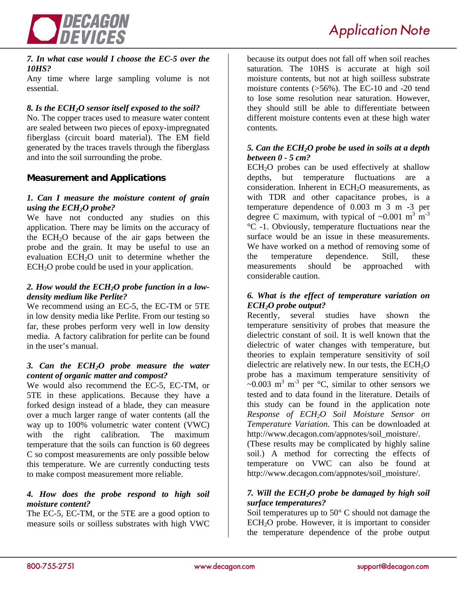

#### *7. In what case would I choose the EC-5 over the 10HS?*

Any time where large sampling volume is not essential.

# *8. Is the ECH2O sensor itself exposed to the soil?*

No. The copper traces used to measure water content are sealed between two pieces of epoxy-impregnated fiberglass (circuit board material). The EM field generated by the traces travels through the fiberglass and into the soil surrounding the probe.

# **Measurement and Applications**

#### *1. Can I measure the moisture content of grain using the ECH<sub>2</sub>O probe?*

We have not conducted any studies on this application. There may be limits on the accuracy of the  $ECH<sub>2</sub>O$  because of the air gaps between the probe and the grain. It may be useful to use an evaluation ECH<sub>2</sub>O unit to determine whether the ECH2O probe could be used in your application.

#### *2. How would the ECH2O probe function in a lowdensity medium like Perlite?*

We recommend using an EC-5, the EC-TM or 5TE in low density media like Perlite. From our testing so far, these probes perform very well in low density media. A factory calibration for perlite can be found in the user's manual.

#### *3. Can the ECH2O probe measure the water content of organic matter and compost?*

We would also recommend the EC-5, EC-TM, or 5TE in these applications. Because they have a forked design instead of a blade, they can measure over a much larger range of water contents (all the way up to 100% volumetric water content (VWC) with the right calibration. The maximum temperature that the soils can function is 60 degrees C so compost measurements are only possible below this temperature. We are currently conducting tests to make compost measurement more reliable.

#### *4. How does the probe respond to high soil moisture content?*

The EC-5, EC-TM, or the 5TE are a good option to measure soils or soilless substrates with high VWC because its output does not fall off when soil reaches saturation. The 10HS is accurate at high soil moisture contents, but not at high soilless substrate moisture contents (>56%). The EC-10 and -20 tend to lose some resolution near saturation. However, they should still be able to differentiate between different moisture contents even at these high water contents.

#### *5. Can the ECH2O probe be used in soils at a depth between 0 - 5 cm?*

 $ECH<sub>2</sub>O$  probes can be used effectively at shallow depths, but temperature fluctuations are a consideration. Inherent in ECH<sub>2</sub>O measurements, as with TDR and other capacitance probes, is a temperature dependence of 0.003 m 3 m -3 per degree C maximum, with typical of  $\sim 0.001$  m<sup>3</sup> m<sup>-3</sup> °C -1. Obviously, temperature fluctuations near the surface would be an issue in these measurements. We have worked on a method of removing some of the temperature dependence. Still, these measurements should be approached with considerable caution.

#### *6. What is the effect of temperature variation on ECH2O probe output?*

Recently, several studies have shown the temperature sensitivity of probes that measure the dielectric constant of soil. It is well known that the dielectric of water changes with temperature, but theories to explain temperature sensitivity of soil dielectric are relatively new. In our tests, the  $ECH<sub>2</sub>O$ probe has a maximum temperature sensitivity of  $\sim$ 0.003 m<sup>3</sup> m<sup>-3</sup> per  $\degree$ C, similar to other sensors we tested and to data found in the literature. Details of this study can be found in the application note *Response of ECH2O Soil Moisture Sensor on Temperature Variation*. This can be downloaded at http://www.decagon.com/appnotes/soil\_moisture/.

(These results may be complicated by highly saline soil.) A method for correcting the effects of temperature on VWC can also be found at http://www.decagon.com/appnotes/soil\_moisture/.

### *7. Will the ECH2O probe be damaged by high soil surface temperatures?*

Soil temperatures up to 50° C should not damage the  $ECH<sub>2</sub>O$  probe. However, it is important to consider the temperature dependence of the probe output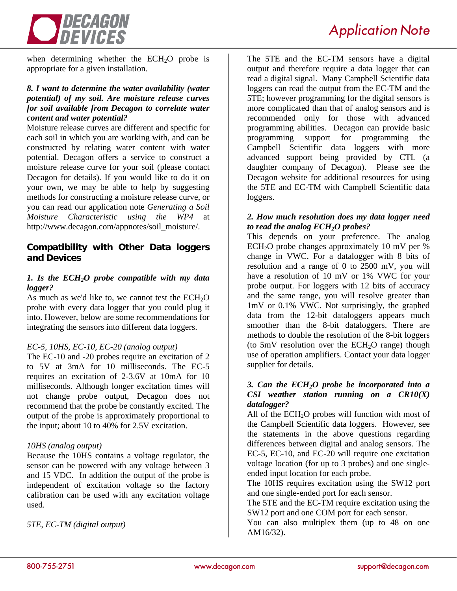

when determining whether the  $ECH<sub>2</sub>O$  probe is appropriate for a given installation.

# *8. I want to determine the water availability (water potential) of my soil. Are moisture release curves for soil available from Decagon to correlate water content and water potential?*

Moisture release curves are different and specific for each soil in which you are working with, and can be constructed by relating water content with water potential. Decagon offers a service to construct a moisture release curve for your soil (please contact Decagon for details). If you would like to do it on your own, we may be able to help by suggesting methods for constructing a moisture release curve, or you can read our application note *Generating a Soil Moisture Characteristic using the WP4* at http://www.decagon.com/appnotes/soil\_moisture/.

# **Compatibility with Other Data loggers and Devices**

# *1. Is the ECH2O probe compatible with my data logger?*

As much as we'd like to, we cannot test the  $ECH<sub>2</sub>O$ probe with every data logger that you could plug it into. However, below are some recommendations for integrating the sensors into different data loggers.

# *EC-5, 10HS, EC-10, EC-20 (analog output)*

The EC-10 and -20 probes require an excitation of 2 to 5V at 3mA for 10 milliseconds. The EC-5 requires an excitation of 2-3.6V at 10mA for 10 milliseconds. Although longer excitation times will not change probe output, Decagon does not recommend that the probe be constantly excited. The output of the probe is approximately proportional to the input; about 10 to 40% for 2.5V excitation.

### *10HS (analog output)*

Because the 10HS contains a voltage regulator, the sensor can be powered with any voltage between 3 and 15 VDC. In addition the output of the probe is independent of excitation voltage so the factory calibration can be used with any excitation voltage used.

*5TE, EC-TM (digital output)* 

The 5TE and the EC-TM sensors have a digital output and therefore require a data logger that can read a digital signal. Many Campbell Scientific data loggers can read the output from the EC-TM and the 5TE; however programming for the digital sensors is more complicated than that of analog sensors and is recommended only for those with advanced programming abilities. Decagon can provide basic programming support for programming the Campbell Scientific data loggers with more advanced support being provided by CTL (a daughter company of Decagon). Please see the Decagon website for additional resources for using the 5TE and EC-TM with Campbell Scientific data loggers.

### *2. How much resolution does my data logger need to read the analog ECH2O probes?*

This depends on your preference. The analog  $ECH<sub>2</sub>O$  probe changes approximately 10 mV per % change in VWC. For a datalogger with 8 bits of resolution and a range of 0 to 2500 mV, you will have a resolution of 10 mV or 1% VWC for your probe output. For loggers with 12 bits of accuracy and the same range, you will resolve greater than 1mV or 0.1% VWC. Not surprisingly, the graphed data from the 12-bit dataloggers appears much smoother than the 8-bit dataloggers. There are methods to double the resolution of the 8-bit loggers (to 5mV resolution over the  $ECH<sub>2</sub>O$  range) though use of operation amplifiers. Contact your data logger supplier for details.

# *3. Can the ECH2O probe be incorporated into a CSI weather station running on a CR10(X) datalogger?*

All of the  $ECH<sub>2</sub>O$  probes will function with most of the Campbell Scientific data loggers. However, see the statements in the above questions regarding differences between digital and analog sensors. The EC-5, EC-10, and EC-20 will require one excitation voltage location (for up to 3 probes) and one singleended input location for each probe.

The 10HS requires excitation using the SW12 port and one single-ended port for each sensor.

The 5TE and the EC-TM require excitation using the SW12 port and one COM port for each sensor.

You can also multiplex them (up to 48 on one AM16/32).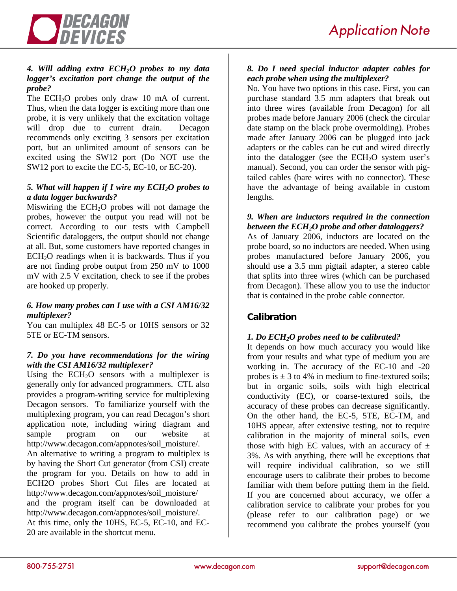

# *4. Will adding extra ECH2O probes to my data logger's excitation port change the output of the probe?*

The  $ECH<sub>2</sub>O$  probes only draw 10 mA of current. Thus, when the data logger is exciting more than one probe, it is very unlikely that the excitation voltage will drop due to current drain. Decagon recommends only exciting 3 sensors per excitation port, but an unlimited amount of sensors can be excited using the SW12 port (Do NOT use the SW12 port to excite the EC-5, EC-10, or EC-20).

# *5. What will happen if I wire my ECH2O probes to a data logger backwards?*

Miswiring the  $ECH<sub>2</sub>O$  probes will not damage the probes, however the output you read will not be correct. According to our tests with Campbell Scientific dataloggers, the output should not change at all. But, some customers have reported changes in  $ECH<sub>2</sub>O$  readings when it is backwards. Thus if you are not finding probe output from 250 mV to 1000 mV with 2.5 V excitation, check to see if the probes are hooked up properly.

# *6. How many probes can I use with a CSI AM16/32 multiplexer?*

You can multiplex 48 EC-5 or 10HS sensors or 32 5TE or EC-TM sensors.

# *7. Do you have recommendations for the wiring with the CSI AM16/32 multiplexer?*

Using the  $ECH<sub>2</sub>O$  sensors with a multiplexer is generally only for advanced programmers. CTL also provides a program-writing service for multiplexing Decagon sensors. To familiarize yourself with the multiplexing program, you can read Decagon's short application note, including wiring diagram and sample program on our website at http://www.decagon.com/appnotes/soil\_moisture/. An alternative to writing a program to multiplex is by having the Short Cut generator (from CSI) create the program for you. Details on how to add in ECH2O probes Short Cut files are located at http://www.decagon.com/appnotes/soil\_moisture/ and the program itself can be downloaded at http://www.decagon.com/appnotes/soil\_moisture/. At this time, only the 10HS, EC-5, EC-10, and EC-20 are available in the shortcut menu.

# *8. Do I need special inductor adapter cables for each probe when using the multiplexer?*

No. You have two options in this case. First, you can purchase standard 3.5 mm adapters that break out into three wires (available from Decagon) for all probes made before January 2006 (check the circular date stamp on the black probe overmolding). Probes made after January 2006 can be plugged into jack adapters or the cables can be cut and wired directly into the datalogger (see the  $ECH<sub>2</sub>O$  system user's manual). Second, you can order the sensor with pigtailed cables (bare wires with no connector). These have the advantage of being available in custom lengths.

# *9. When are inductors required in the connection between the ECH2O probe and other dataloggers?*

As of January 2006, inductors are located on the probe board, so no inductors are needed. When using probes manufactured before January 2006, you should use a 3.5 mm pigtail adapter, a stereo cable that splits into three wires (which can be purchased from Decagon). These allow you to use the inductor that is contained in the probe cable connector.

# **Calibration**

# *1. Do ECH2O probes need to be calibrated?*

It depends on how much accuracy you would like from your results and what type of medium you are working in. The accuracy of the EC-10 and -20 probes is  $\pm$  3 to 4% in medium to fine-textured soils; but in organic soils, soils with high electrical conductivity (EC), or coarse-textured soils, the accuracy of these probes can decrease significantly. On the other hand, the EC-5, 5TE, EC-TM, and 10HS appear, after extensive testing, not to require calibration in the majority of mineral soils, even those with high EC values, with an accuracy of  $\pm$ 3%. As with anything, there will be exceptions that will require individual calibration, so we still encourage users to calibrate their probes to become familiar with them before putting them in the field. If you are concerned about accuracy, we offer a calibration service to calibrate your probes for you (please refer to our calibration page) or we recommend you calibrate the probes yourself (you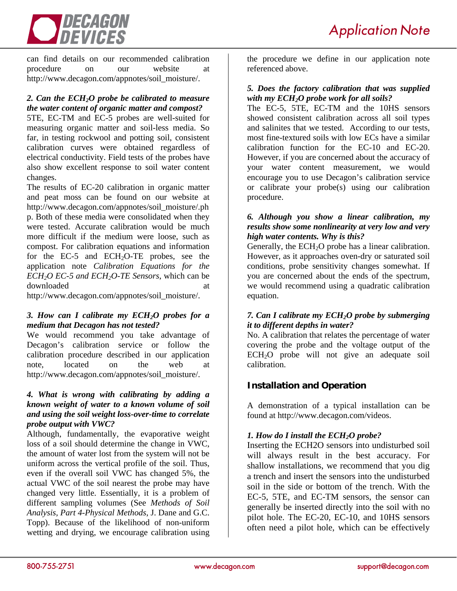

can find details on our recommended calibration procedure on our website at http://www.decagon.com/appnotes/soil\_moisture/.

# *2. Can the ECH2O probe be calibrated to measure the water content of organic matter and compost?*

5TE, EC-TM and EC-5 probes are well-suited for measuring organic matter and soil-less media. So far, in testing rockwool and potting soil, consistent calibration curves were obtained regardless of electrical conductivity. Field tests of the probes have also show excellent response to soil water content changes.

The results of EC-20 calibration in organic matter and peat moss can be found on our website at http://www.decagon.com/appnotes/soil\_moisture/.ph p. Both of these media were consolidated when they were tested. Accurate calibration would be much more difficult if the medium were loose, such as compost. For calibration equations and information for the EC-5 and ECH<sub>2</sub>O-TE probes, see the application note *Calibration Equations for the ECH2O EC-5 and ECH2O-TE Sensors*, which can be downloaded at a state of  $\alpha$  at a state of  $\alpha$  at a state of  $\alpha$  at a state of  $\alpha$  at a state of  $\alpha$  at a state of  $\alpha$  at a state of  $\alpha$  at a state of  $\alpha$  at a state of  $\alpha$  at a state of  $\alpha$  at a state of  $\alpha$  at

http://www.decagon.com/appnotes/soil\_moisture/.

### *3. How can I calibrate my ECH2O probes for a medium that Decagon has not tested?*

We would recommend you take advantage of Decagon's calibration service or follow the calibration procedure described in our application note, located on the web at http://www.decagon.com/appnotes/soil\_moisture/.

### *4. What is wrong with calibrating by adding a known weight of water to a known volume of soil and using the soil weight loss-over-time to correlate probe output with VWC?*

Although, fundamentally, the evaporative weight loss of a soil should determine the change in VWC, the amount of water lost from the system will not be uniform across the vertical profile of the soil. Thus, even if the overall soil VWC has changed 5%, the actual VWC of the soil nearest the probe may have changed very little. Essentially, it is a problem of different sampling volumes (See *Methods of Soil Analysis, Part 4-Physical Methods*, J. Dane and G.C. Topp). Because of the likelihood of non-uniform wetting and drying, we encourage calibration using the procedure we define in our application note referenced above.

# *5. Does the factory calibration that was supplied with my ECH2O probe work for all soils?*

The EC-5, 5TE, EC-TM and the 10HS sensors showed consistent calibration across all soil types and salinites that we tested. According to our tests, most fine-textured soils with low ECs have a similar calibration function for the EC-10 and EC-20. However, if you are concerned about the accuracy of your water content measurement, we would encourage you to use Decagon's calibration service or calibrate your probe(s) using our calibration procedure.

### *6. Although you show a linear calibration, my results show some nonlinearity at very low and very high water contents. Why is this?*

Generally, the  $ECH<sub>2</sub>O$  probe has a linear calibration. However, as it approaches oven-dry or saturated soil conditions, probe sensitivity changes somewhat. If you are concerned about the ends of the spectrum, we would recommend using a quadratic calibration equation.

### *7. Can I calibrate my ECH2O probe by submerging it to different depths in water?*

No. A calibration that relates the percentage of water covering the probe and the voltage output of the ECH2O probe will not give an adequate soil calibration.

# **Installation and Operation**

A demonstration of a typical installation can be found at http://www.decagon.com/videos.

# *1. How do I install the ECH<sub>2</sub>O probe?*

Inserting the ECH2O sensors into undisturbed soil will always result in the best accuracy. For shallow installations, we recommend that you dig a trench and insert the sensors into the undisturbed soil in the side or bottom of the trench. With the EC-5, 5TE, and EC-TM sensors, the sensor can generally be inserted directly into the soil with no pilot hole. The EC-20, EC-10, and 10HS sensors often need a pilot hole, which can be effectively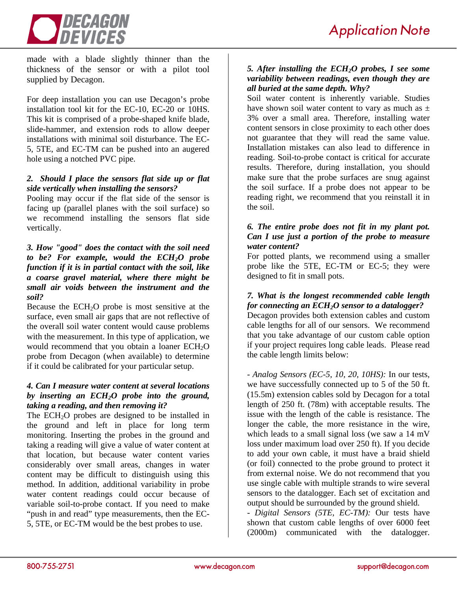

made with a blade slightly thinner than the thickness of the sensor or with a pilot tool supplied by Decagon.

For deep installation you can use Decagon's probe installation tool kit for the EC-10, EC-20 or 10HS. This kit is comprised of a probe-shaped knife blade, slide-hammer, and extension rods to allow deeper installations with minimal soil disturbance. The EC-5, 5TE, and EC-TM can be pushed into an augered hole using a notched PVC pipe.

# *2. Should I place the sensors flat side up or flat side vertically when installing the sensors?*

Pooling may occur if the flat side of the sensor is facing up (parallel planes with the soil surface) so we recommend installing the sensors flat side vertically.

# *3. How "good" does the contact with the soil need*  to be? For example, would the ECH<sub>2</sub>O probe *function if it is in partial contact with the soil, like a coarse gravel material, where there might be small air voids between the instrument and the soil?*

Because the ECH<sub>2</sub>O probe is most sensitive at the surface, even small air gaps that are not reflective of the overall soil water content would cause problems with the measurement. In this type of application, we would recommend that you obtain a loaner ECH<sub>2</sub>O probe from Decagon (when available) to determine if it could be calibrated for your particular setup.

# *4. Can I measure water content at several locations by inserting an ECH2O probe into the ground, taking a reading, and then removing it?*

The  $ECH<sub>2</sub>O$  probes are designed to be installed in the ground and left in place for long term monitoring. Inserting the probes in the ground and taking a reading will give a value of water content at that location, but because water content varies considerably over small areas, changes in water content may be difficult to distinguish using this method. In addition, additional variability in probe water content readings could occur because of variable soil-to-probe contact. If you need to make "push in and read" type measurements, then the EC-5, 5TE, or EC-TM would be the best probes to use.

# *5. After installing the ECH2O probes, I see some variability between readings, even though they are all buried at the same depth. Why?*

Soil water content is inherently variable. Studies have shown soil water content to vary as much as  $\pm$ 3% over a small area. Therefore, installing water content sensors in close proximity to each other does not guarantee that they will read the same value. Installation mistakes can also lead to difference in reading. Soil-to-probe contact is critical for accurate results. Therefore, during installation, you should make sure that the probe surfaces are snug against the soil surface. If a probe does not appear to be reading right, we recommend that you reinstall it in the soil.

# *6. The entire probe does not fit in my plant pot. Can I use just a portion of the probe to measure water content?*

For potted plants, we recommend using a smaller probe like the 5TE, EC-TM or EC-5; they were designed to fit in small pots.

# *7. What is the longest recommended cable length for connecting an ECH2O sensor to a datalogger?*

Decagon provides both extension cables and custom cable lengths for all of our sensors. We recommend that you take advantage of our custom cable option if your project requires long cable leads. Please read the cable length limits below:

*- Analog Sensors (EC-5, 10, 20, 10HS):* In our tests, we have successfully connected up to 5 of the 50 ft. (15.5m) extension cables sold by Decagon for a total length of 250 ft. (78m) with acceptable results. The issue with the length of the cable is resistance. The longer the cable, the more resistance in the wire, which leads to a small signal loss (we saw a 14 mV loss under maximum load over 250 ft). If you decide to add your own cable, it must have a braid shield (or foil) connected to the probe ground to protect it from external noise. We do not recommend that you use single cable with multiple strands to wire several sensors to the datalogger. Each set of excitation and output should be surrounded by the ground shield.

*- Digital Sensors (5TE, EC-TM):* Our tests have shown that custom cable lengths of over 6000 feet (2000m) communicated with the datalogger.